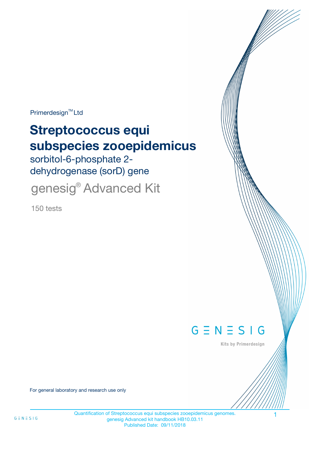Primerdesign<sup>™</sup>Ltd

# **Streptococcus equi subspecies zooepidemicus**

sorbitol-6-phosphate 2 dehydrogenase (sorD) gene

genesig® Advanced Kit

150 tests



Kits by Primerdesign

For general laboratory and research use only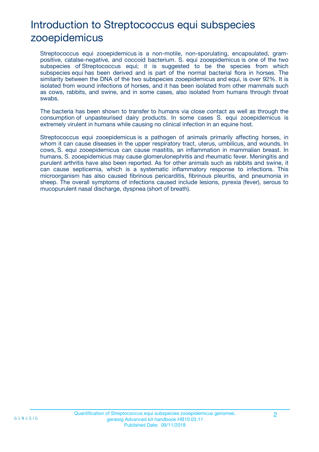# Introduction to Streptococcus equi subspecies zooepidemicus

Streptococcus equi zooepidemicus is a non-motile, non-sporulating, encapsulated, grampositive, catalse-negative, and coccoid bacterium. S. equi zooepidemicus is one of the two subspecies of Streptococcus equi; it is suggested to be the species from which subspecies equi has been derived and is part of the normal bacterial flora in horses. The similarity between the DNA of the two subspecies zooepidemicus and equi, is over 92%. It is isolated from wound infections of horses, and it has been isolated from other mammals such as cows, rabbits, and swine, and in some cases, also isolated from humans through throat swabs.

The bacteria has been shown to transfer to humans via close contact as well as through the consumption of unpasteurised dairy products. In some cases S. equi zooepidemicus is extremely virulent in humans while causing no clinical infection in an equine host.

Streptococcus equi zooepidemicus is a pathogen of animals primarily affecting horses, in whom it can cause diseases in the upper respiratory tract, uterus, umbilicus, and wounds. In cows, S. equi zooepidemicus can cause mastitis, an inflammation in mammalian breast. In humans, S. zooepidemicus may cause glomerulonephritis and rheumatic fever. Meningitis and purulent arthritis have also been reported. As for other animals such as rabbits and swine, it can cause septicemia, which is a systematic inflammatory response to infections. This microorganism has also caused fibrinous pericarditis, fibrinous pleuritis, and pneumonia in sheep. The overall symptoms of infections caused include lesions, pyrexia (fever), serous to mucopurulent nasal discharge, dyspnea (short of breath).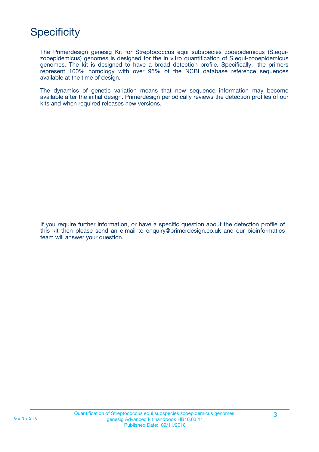# **Specificity**

The Primerdesign genesig Kit for Streptococcus equi subspecies zooepidemicus (S.equizooepidemicus) genomes is designed for the in vitro quantification of S.equi-zooepidemicus genomes. The kit is designed to have a broad detection profile. Specifically, the primers represent 100% homology with over 95% of the NCBI database reference sequences available at the time of design.

The dynamics of genetic variation means that new sequence information may become available after the initial design. Primerdesign periodically reviews the detection profiles of our kits and when required releases new versions.

If you require further information, or have a specific question about the detection profile of this kit then please send an e.mail to enquiry@primerdesign.co.uk and our bioinformatics team will answer your question.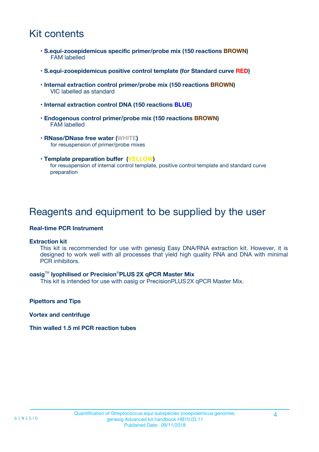# Kit contents

- **S.equi-zooepidemicus specific primer/probe mix (150 reactions BROWN)** FAM labelled
- **S.equi-zooepidemicus positive control template (for Standard curve RED)**
- **Internal extraction control primer/probe mix (150 reactions BROWN)** VIC labelled as standard
- **Internal extraction control DNA (150 reactions BLUE)**
- **Endogenous control primer/probe mix (150 reactions BROWN)** FAM labelled
- **RNase/DNase free water (WHITE)** for resuspension of primer/probe mixes
- **Template preparation buffer (YELLOW)** for resuspension of internal control template, positive control template and standard curve preparation

### Reagents and equipment to be supplied by the user

#### **Real-time PCR Instrument**

#### **Extraction kit**

This kit is recommended for use with genesig Easy DNA/RNA extraction kit. However, it is designed to work well with all processes that yield high quality RNA and DNA with minimal PCR inhibitors.

#### **oasig**TM **lyophilised or Precision**®**PLUS 2X qPCR Master Mix**

This kit is intended for use with oasig or PrecisionPLUS2X qPCR Master Mix.

**Pipettors and Tips**

**Vortex and centrifuge**

#### **Thin walled 1.5 ml PCR reaction tubes**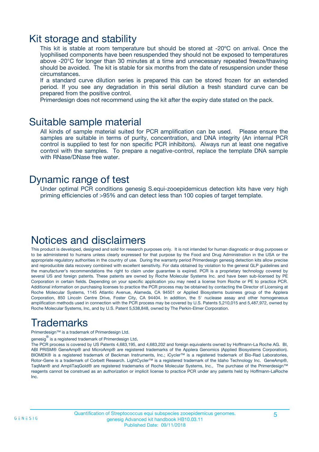### Kit storage and stability

This kit is stable at room temperature but should be stored at -20ºC on arrival. Once the lyophilised components have been resuspended they should not be exposed to temperatures above -20°C for longer than 30 minutes at a time and unnecessary repeated freeze/thawing should be avoided. The kit is stable for six months from the date of resuspension under these circumstances.

If a standard curve dilution series is prepared this can be stored frozen for an extended period. If you see any degradation in this serial dilution a fresh standard curve can be prepared from the positive control.

Primerdesign does not recommend using the kit after the expiry date stated on the pack.

### Suitable sample material

All kinds of sample material suited for PCR amplification can be used. Please ensure the samples are suitable in terms of purity, concentration, and DNA integrity (An internal PCR control is supplied to test for non specific PCR inhibitors). Always run at least one negative control with the samples. To prepare a negative-control, replace the template DNA sample with RNase/DNase free water.

### Dynamic range of test

Under optimal PCR conditions genesig S.equi-zooepidemicus detection kits have very high priming efficiencies of >95% and can detect less than 100 copies of target template.

### Notices and disclaimers

This product is developed, designed and sold for research purposes only. It is not intended for human diagnostic or drug purposes or to be administered to humans unless clearly expressed for that purpose by the Food and Drug Administration in the USA or the appropriate regulatory authorities in the country of use. During the warranty period Primerdesign genesig detection kits allow precise and reproducible data recovery combined with excellent sensitivity. For data obtained by violation to the general GLP guidelines and the manufacturer's recommendations the right to claim under guarantee is expired. PCR is a proprietary technology covered by several US and foreign patents. These patents are owned by Roche Molecular Systems Inc. and have been sub-licensed by PE Corporation in certain fields. Depending on your specific application you may need a license from Roche or PE to practice PCR. Additional information on purchasing licenses to practice the PCR process may be obtained by contacting the Director of Licensing at Roche Molecular Systems, 1145 Atlantic Avenue, Alameda, CA 94501 or Applied Biosystems business group of the Applera Corporation, 850 Lincoln Centre Drive, Foster City, CA 94404. In addition, the 5' nuclease assay and other homogeneous amplification methods used in connection with the PCR process may be covered by U.S. Patents 5,210,015 and 5,487,972, owned by Roche Molecular Systems, Inc, and by U.S. Patent 5,538,848, owned by The Perkin-Elmer Corporation.

# Trademarks

Primerdesign™ is a trademark of Primerdesign Ltd.

genesig $^\circledR$  is a registered trademark of Primerdesign Ltd.

The PCR process is covered by US Patents 4,683,195, and 4,683,202 and foreign equivalents owned by Hoffmann-La Roche AG. BI, ABI PRISM® GeneAmp® and MicroAmp® are registered trademarks of the Applera Genomics (Applied Biosystems Corporation). BIOMEK® is a registered trademark of Beckman Instruments, Inc.; iCycler™ is a registered trademark of Bio-Rad Laboratories, Rotor-Gene is a trademark of Corbett Research. LightCycler™ is a registered trademark of the Idaho Technology Inc. GeneAmp®, TaqMan® and AmpliTaqGold® are registered trademarks of Roche Molecular Systems, Inc., The purchase of the Primerdesign™ reagents cannot be construed as an authorization or implicit license to practice PCR under any patents held by Hoffmann-LaRoche Inc.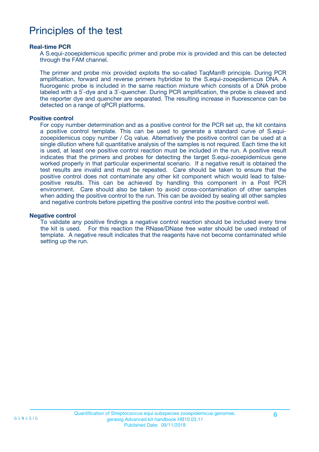### Principles of the test

#### **Real-time PCR**

A S.equi-zooepidemicus specific primer and probe mix is provided and this can be detected through the FAM channel.

The primer and probe mix provided exploits the so-called TaqMan® principle. During PCR amplification, forward and reverse primers hybridize to the S.equi-zooepidemicus DNA. A fluorogenic probe is included in the same reaction mixture which consists of a DNA probe labeled with a 5`-dye and a 3`-quencher. During PCR amplification, the probe is cleaved and the reporter dye and quencher are separated. The resulting increase in fluorescence can be detected on a range of qPCR platforms.

#### **Positive control**

For copy number determination and as a positive control for the PCR set up, the kit contains a positive control template. This can be used to generate a standard curve of S.equizooepidemicus copy number / Cq value. Alternatively the positive control can be used at a single dilution where full quantitative analysis of the samples is not required. Each time the kit is used, at least one positive control reaction must be included in the run. A positive result indicates that the primers and probes for detecting the target S.equi-zooepidemicus gene worked properly in that particular experimental scenario. If a negative result is obtained the test results are invalid and must be repeated. Care should be taken to ensure that the positive control does not contaminate any other kit component which would lead to falsepositive results. This can be achieved by handling this component in a Post PCR environment. Care should also be taken to avoid cross-contamination of other samples when adding the positive control to the run. This can be avoided by sealing all other samples and negative controls before pipetting the positive control into the positive control well.

#### **Negative control**

To validate any positive findings a negative control reaction should be included every time the kit is used. For this reaction the RNase/DNase free water should be used instead of template. A negative result indicates that the reagents have not become contaminated while setting up the run.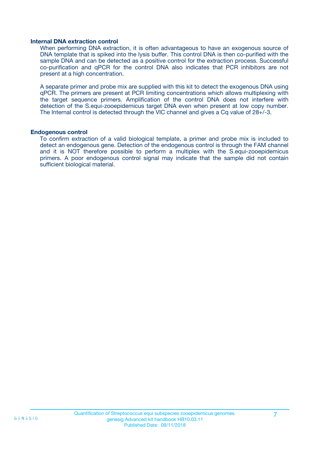#### **Internal DNA extraction control**

When performing DNA extraction, it is often advantageous to have an exogenous source of DNA template that is spiked into the lysis buffer. This control DNA is then co-purified with the sample DNA and can be detected as a positive control for the extraction process. Successful co-purification and qPCR for the control DNA also indicates that PCR inhibitors are not present at a high concentration.

A separate primer and probe mix are supplied with this kit to detect the exogenous DNA using qPCR. The primers are present at PCR limiting concentrations which allows multiplexing with the target sequence primers. Amplification of the control DNA does not interfere with detection of the S.equi-zooepidemicus target DNA even when present at low copy number. The Internal control is detected through the VIC channel and gives a Cq value of 28+/-3.

#### **Endogenous control**

To confirm extraction of a valid biological template, a primer and probe mix is included to detect an endogenous gene. Detection of the endogenous control is through the FAM channel and it is NOT therefore possible to perform a multiplex with the S.equi-zooepidemicus primers. A poor endogenous control signal may indicate that the sample did not contain sufficient biological material.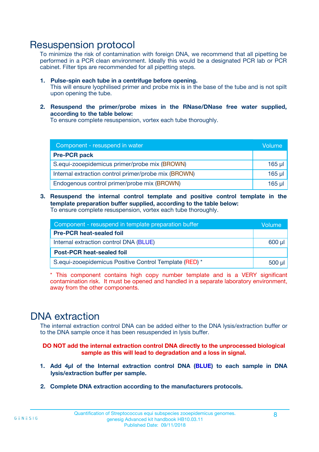### Resuspension protocol

To minimize the risk of contamination with foreign DNA, we recommend that all pipetting be performed in a PCR clean environment. Ideally this would be a designated PCR lab or PCR cabinet. Filter tips are recommended for all pipetting steps.

- **1. Pulse-spin each tube in a centrifuge before opening.** This will ensure lyophilised primer and probe mix is in the base of the tube and is not spilt upon opening the tube.
- **2. Resuspend the primer/probe mixes in the RNase/DNase free water supplied, according to the table below:**

To ensure complete resuspension, vortex each tube thoroughly.

| Component - resuspend in water                       |             |  |
|------------------------------------------------------|-------------|--|
| <b>Pre-PCR pack</b>                                  |             |  |
| S.equi-zooepidemicus primer/probe mix (BROWN)        | $165$ µl    |  |
| Internal extraction control primer/probe mix (BROWN) | $165$ $\mu$ |  |
| Endogenous control primer/probe mix (BROWN)          | $165$ µl    |  |

**3. Resuspend the internal control template and positive control template in the template preparation buffer supplied, according to the table below:** To ensure complete resuspension, vortex each tube thoroughly.

| Component - resuspend in template preparation buffer   |  |  |
|--------------------------------------------------------|--|--|
| <b>Pre-PCR heat-sealed foil</b>                        |  |  |
| Internal extraction control DNA (BLUE)                 |  |  |
| <b>Post-PCR heat-sealed foil</b>                       |  |  |
| S.equi-zooepidemicus Positive Control Template (RED) * |  |  |

\* This component contains high copy number template and is a VERY significant contamination risk. It must be opened and handled in a separate laboratory environment, away from the other components.

### DNA extraction

The internal extraction control DNA can be added either to the DNA lysis/extraction buffer or to the DNA sample once it has been resuspended in lysis buffer.

**DO NOT add the internal extraction control DNA directly to the unprocessed biological sample as this will lead to degradation and a loss in signal.**

- **1. Add 4µl of the Internal extraction control DNA (BLUE) to each sample in DNA lysis/extraction buffer per sample.**
- **2. Complete DNA extraction according to the manufacturers protocols.**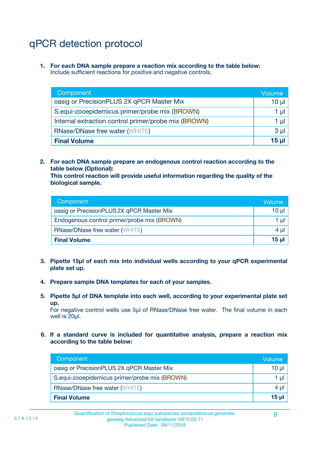# qPCR detection protocol

**1. For each DNA sample prepare a reaction mix according to the table below:** Include sufficient reactions for positive and negative controls.

| Component                                            | Volume   |
|------------------------------------------------------|----------|
| oasig or PrecisionPLUS 2X qPCR Master Mix            | 10 $\mu$ |
| S.equi-zooepidemicus primer/probe mix (BROWN)        | 1 µl     |
| Internal extraction control primer/probe mix (BROWN) | 1 µl     |
| <b>RNase/DNase free water (WHITE)</b>                | $3 \mu$  |
| <b>Final Volume</b>                                  | 15 µl    |

**2. For each DNA sample prepare an endogenous control reaction according to the table below (Optional):**

**This control reaction will provide useful information regarding the quality of the biological sample.**

| Component                                   | Volume          |
|---------------------------------------------|-----------------|
| oasig or PrecisionPLUS 2X qPCR Master Mix   | 10 µl           |
| Endogenous control primer/probe mix (BROWN) | 1 µl            |
| <b>RNase/DNase free water (WHITE)</b>       | $4 \mu$         |
| <b>Final Volume</b>                         | 15 <sub>µ</sub> |

- **3. Pipette 15µl of each mix into individual wells according to your qPCR experimental plate set up.**
- **4. Prepare sample DNA templates for each of your samples.**
- **5. Pipette 5µl of DNA template into each well, according to your experimental plate set up.**

For negative control wells use 5µl of RNase/DNase free water. The final volume in each well is 20ul.

**6. If a standard curve is included for quantitative analysis, prepare a reaction mix according to the table below:**

| Component                                     | Volume          |
|-----------------------------------------------|-----------------|
| oasig or PrecisionPLUS 2X qPCR Master Mix     | 10 µl           |
| S.equi-zooepidemicus primer/probe mix (BROWN) | 1 µI I          |
| <b>RNase/DNase free water (WHITE)</b>         | $4 \mu$         |
| <b>Final Volume</b>                           | 15 <sub>µ</sub> |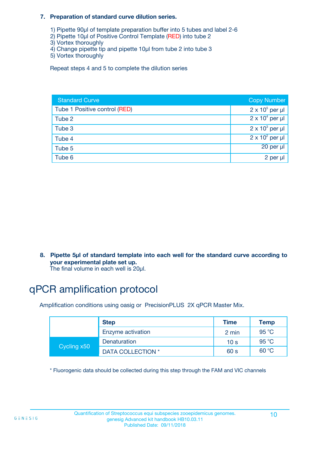#### **7. Preparation of standard curve dilution series.**

- 1) Pipette 90µl of template preparation buffer into 5 tubes and label 2-6
- 2) Pipette 10µl of Positive Control Template (RED) into tube 2
- 3) Vortex thoroughly
- 4) Change pipette tip and pipette 10µl from tube 2 into tube 3
- 5) Vortex thoroughly

Repeat steps 4 and 5 to complete the dilution series

| <b>Standard Curve</b>         | <b>Copy Number</b>     |
|-------------------------------|------------------------|
| Tube 1 Positive control (RED) | $2 \times 10^5$ per µl |
| Tube 2                        | $2 \times 10^4$ per µl |
| Tube 3                        | $2 \times 10^3$ per µl |
| Tube 4                        | $2 \times 10^2$ per µl |
| Tube 5                        | $20$ per $\mu$         |
| Tube 6                        | 2 per µl               |

**8. Pipette 5µl of standard template into each well for the standard curve according to your experimental plate set up.**

#### The final volume in each well is 20µl.

# qPCR amplification protocol

Amplification conditions using oasig or PrecisionPLUS 2X qPCR Master Mix.

|             | <b>Step</b>       | <b>Time</b>     | Temp    |
|-------------|-------------------|-----------------|---------|
|             | Enzyme activation | 2 min           | 95 °C   |
| Cycling x50 | Denaturation      | 10 <sub>s</sub> | 95 $°C$ |
|             | DATA COLLECTION * | 60 s            | 60 °C   |

\* Fluorogenic data should be collected during this step through the FAM and VIC channels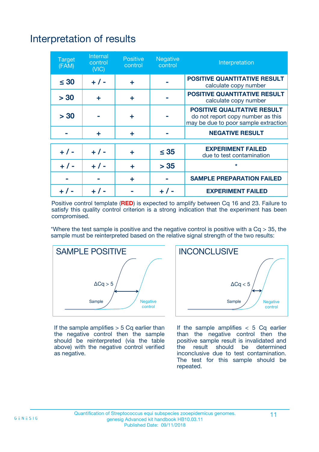# Interpretation of results

| <b>Target</b><br>(FAM) | <b>Internal</b><br>control<br>(NIC) | <b>Positive</b><br>control | <b>Negative</b><br>control | Interpretation                                                                                                  |
|------------------------|-------------------------------------|----------------------------|----------------------------|-----------------------------------------------------------------------------------------------------------------|
| $\leq 30$              | $+ 1 -$                             | ÷                          |                            | <b>POSITIVE QUANTITATIVE RESULT</b><br>calculate copy number                                                    |
| > 30                   | ٠                                   | ÷                          |                            | <b>POSITIVE QUANTITATIVE RESULT</b><br>calculate copy number                                                    |
| > 30                   |                                     | ÷                          |                            | <b>POSITIVE QUALITATIVE RESULT</b><br>do not report copy number as this<br>may be due to poor sample extraction |
|                        | ÷                                   | ÷                          |                            | <b>NEGATIVE RESULT</b>                                                                                          |
| $+ 1 -$                | $+ 1 -$                             | ÷                          | $\leq$ 35                  | <b>EXPERIMENT FAILED</b><br>due to test contamination                                                           |
| $+$ / -                | $+ 1 -$                             | ÷                          | > 35                       | $\star$                                                                                                         |
|                        |                                     | ÷                          |                            | <b>SAMPLE PREPARATION FAILED</b>                                                                                |
|                        |                                     |                            | $+$ /                      | <b>EXPERIMENT FAILED</b>                                                                                        |

Positive control template (**RED**) is expected to amplify between Cq 16 and 23. Failure to satisfy this quality control criterion is a strong indication that the experiment has been compromised.

\*Where the test sample is positive and the negative control is positive with a  $Ca > 35$ , the sample must be reinterpreted based on the relative signal strength of the two results:



If the sample amplifies  $> 5$  Cq earlier than the negative control then the sample should be reinterpreted (via the table above) with the negative control verified as negative.



If the sample amplifies  $< 5$  Cq earlier than the negative control then the positive sample result is invalidated and<br>the result should be determined  $the$  result should be inconclusive due to test contamination. The test for this sample should be repeated.